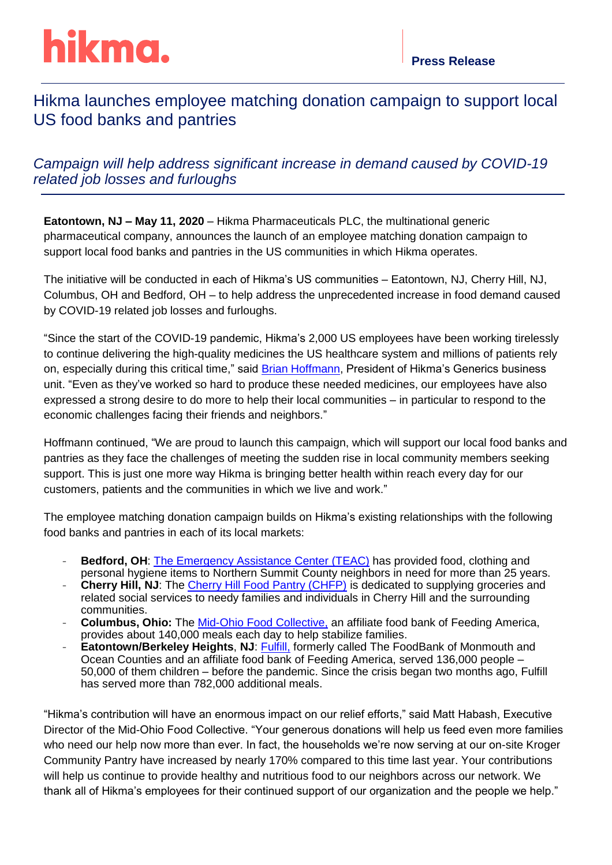# hikma.

## Hikma launches employee matching donation campaign to support local US food banks and pantries

### *Campaign will help address significant increase in demand caused by COVID-19 related job losses and furloughs*

**Eatontown, NJ – May 11, 2020** – Hikma Pharmaceuticals PLC, the multinational generic pharmaceutical company, announces the launch of an employee matching donation campaign to support local food banks and pantries in the US communities in which Hikma operates.

The initiative will be conducted in each of Hikma's US communities – Eatontown, NJ, Cherry Hill, NJ, Columbus, OH and Bedford, OH – to help address the unprecedented increase in food demand caused by COVID-19 related job losses and furloughs.

"Since the start of the COVID-19 pandemic, Hikma's 2,000 US employees have been working tirelessly to continue delivering the high-quality medicines the US healthcare system and millions of patients rely on, especially during this critical time," said **Brian Hoffmann**, President of Hikma's Generics business unit. "Even as they've worked so hard to produce these needed medicines, our employees have also expressed a strong desire to do more to help their local communities – in particular to respond to the economic challenges facing their friends and neighbors."

Hoffmann continued, "We are proud to launch this campaign, which will support our local food banks and pantries as they face the challenges of meeting the sudden rise in local community members seeking support. This is just one more way Hikma is bringing better health within reach every day for our customers, patients and the communities in which we live and work."

The employee matching donation campaign builds on Hikma's existing relationships with the following food banks and pantries in each of its local markets:

- **Bedford, OH:** [The Emergency Assistance Center](https://teacenter.org/home.aspx) (TEAC) has provided food, clothing and personal hygiene items to Northern Summit County neighbors in need for more than 25 years.
- **Cherry Hill, NJ:** The *Cherry Hill Food Pantry (CHFP)* is dedicated to supplying groceries and related social services to needy families and individuals in Cherry Hill and the surrounding communities.
- Columbus, Ohio: The [Mid-Ohio Food Collective,](https://www.midohiofoodbank.org/) an affiliate food bank of Feeding America, provides about 140,000 meals each day to help stabilize families.
- **Eatontown/Berkeley Heights, NJ: [Fulfill,](https://fulfillnj.org/) formerly called The FoodBank of Monmouth and** Ocean Counties and an affiliate food bank of Feeding America, served 136,000 people – 50,000 of them children – before the pandemic. Since the crisis began two months ago, Fulfill has served more than 782,000 additional meals.

"Hikma's contribution will have an enormous impact on our relief efforts," said Matt Habash, Executive Director of the Mid-Ohio Food Collective. "Your generous donations will help us feed even more families who need our help now more than ever. In fact, the households we're now serving at our on-site Kroger Community Pantry have increased by nearly 170% compared to this time last year. Your contributions will help us continue to provide healthy and nutritious food to our neighbors across our network. We thank all of Hikma's employees for their continued support of our organization and the people we help."